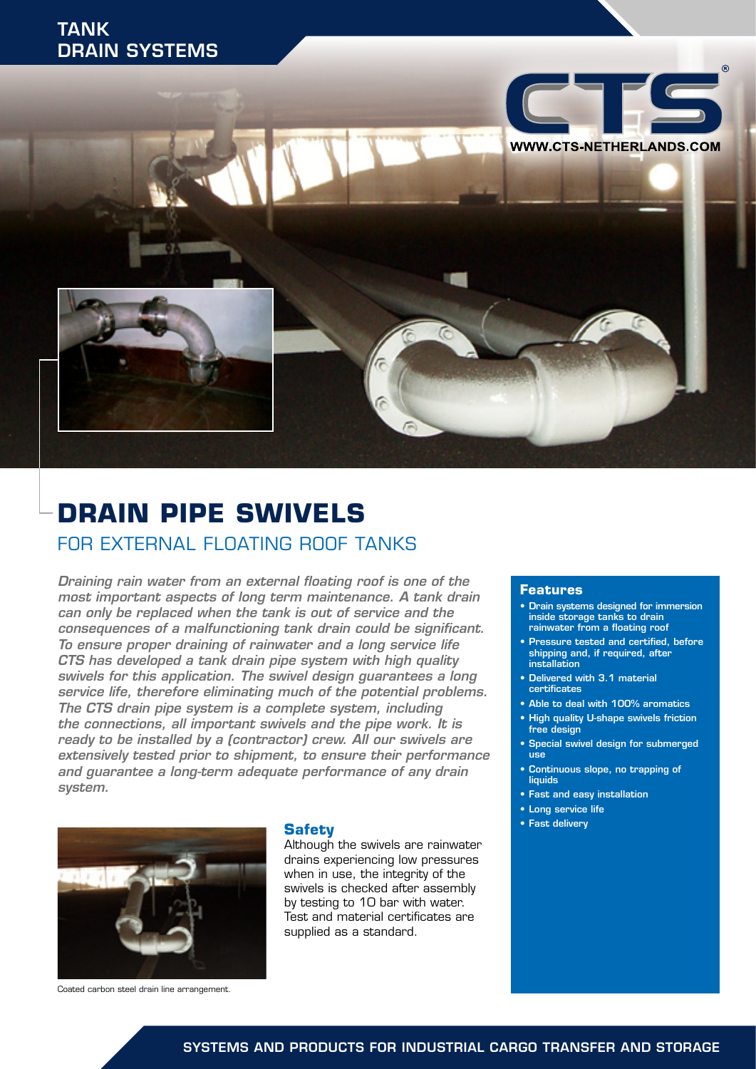

# **DRAIN PIPE SWIVELS** FOR EXTERNAL FLOATING ROOF TANKS

*Draining rain water from an external floating roof is one of the most important aspects of long term maintenance. A tank drain can only be replaced when the tank is out of service and the consequences of a malfunctioning tank drain could be significant. To ensure proper draining of rainwater and a long service life CTS has developed a tank drain pipe system with high quality swivels for this application. The swivel design guarantees a long service life, therefore eliminating much of the potential problems. The CTS drain pipe system is a complete system, including the connections, all important swivels and the pipe work. It is ready to be installed by a (contractor) crew. All our swivels are extensively tested prior to shipment, to ensure their performance and guarantee a long-term adequate performance of any drain system.*



## **Safety**

Although the swivels are rainwater drains experiencing low pressures when in use, the integrity of the swivels is checked after assembly by testing to 10 bar with water. Test and material certificates are supplied as a standard.

#### **Features**

- Drain systems designed for immersion inside storage tanks to drain rainwater from a floating roof
- Pressure tested and certified, before shipping and, if required, after installation
- Delivered with 3.1 material certificates
- Able to deal with 100% aromatics
- High quality U-shape swivels friction free design
- Special swivel design for submerged uee
- Continuous slope, no trapping of liquids
- Fast and easy installation
- Long service life
- Fast delivery

Coated carbon steel drain line arrangement.